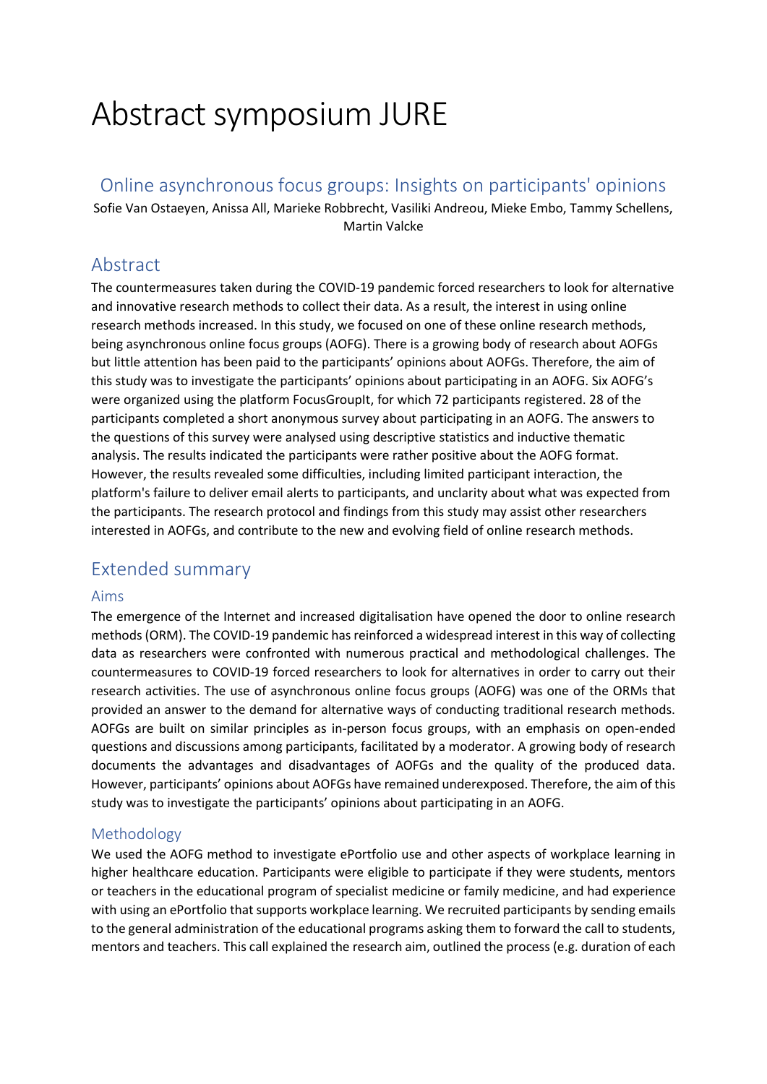# Abstract symposium JURE

## Online asynchronous focus groups: Insights on participants' opinions

Sofie Van Ostaeyen, Anissa All, Marieke Robbrecht, Vasiliki Andreou, Mieke Embo, Tammy Schellens, Martin Valcke

## Abstract

The countermeasures taken during the COVID-19 pandemic forced researchers to look for alternative and innovative research methods to collect their data. As a result, the interest in using online research methods increased. In this study, we focused on one of these online research methods, being asynchronous online focus groups (AOFG). There is a growing body of research about AOFGs but little attention has been paid to the participants' opinions about AOFGs. Therefore, the aim of this study was to investigate the participants' opinions about participating in an AOFG. Six AOFG's were organized using the platform FocusGroupIt, for which 72 participants registered. 28 of the participants completed a short anonymous survey about participating in an AOFG. The answers to the questions of this survey were analysed using descriptive statistics and inductive thematic analysis. The results indicated the participants were rather positive about the AOFG format. However, the results revealed some difficulties, including limited participant interaction, the platform's failure to deliver email alerts to participants, and unclarity about what was expected from the participants. The research protocol and findings from this study may assist other researchers interested in AOFGs, and contribute to the new and evolving field of online research methods.

# Extended summary

#### Aims

The emergence of the Internet and increased digitalisation have opened the door to online research methods(ORM). The COVID-19 pandemic has reinforced a widespread interest in this way of collecting data as researchers were confronted with numerous practical and methodological challenges. The countermeasures to COVID-19 forced researchers to look for alternatives in order to carry out their research activities. The use of asynchronous online focus groups (AOFG) was one of the ORMs that provided an answer to the demand for alternative ways of conducting traditional research methods. AOFGs are built on similar principles as in-person focus groups, with an emphasis on open-ended questions and discussions among participants, facilitated by a moderator. A growing body of research documents the advantages and disadvantages of AOFGs and the quality of the produced data. However, participants' opinions about AOFGs have remained underexposed. Therefore, the aim of this study was to investigate the participants' opinions about participating in an AOFG.

## Methodology

We used the AOFG method to investigate ePortfolio use and other aspects of workplace learning in higher healthcare education. Participants were eligible to participate if they were students, mentors or teachers in the educational program of specialist medicine or family medicine, and had experience with using an ePortfolio that supports workplace learning. We recruited participants by sending emails to the general administration of the educational programs asking them to forward the call to students, mentors and teachers. This call explained the research aim, outlined the process (e.g. duration of each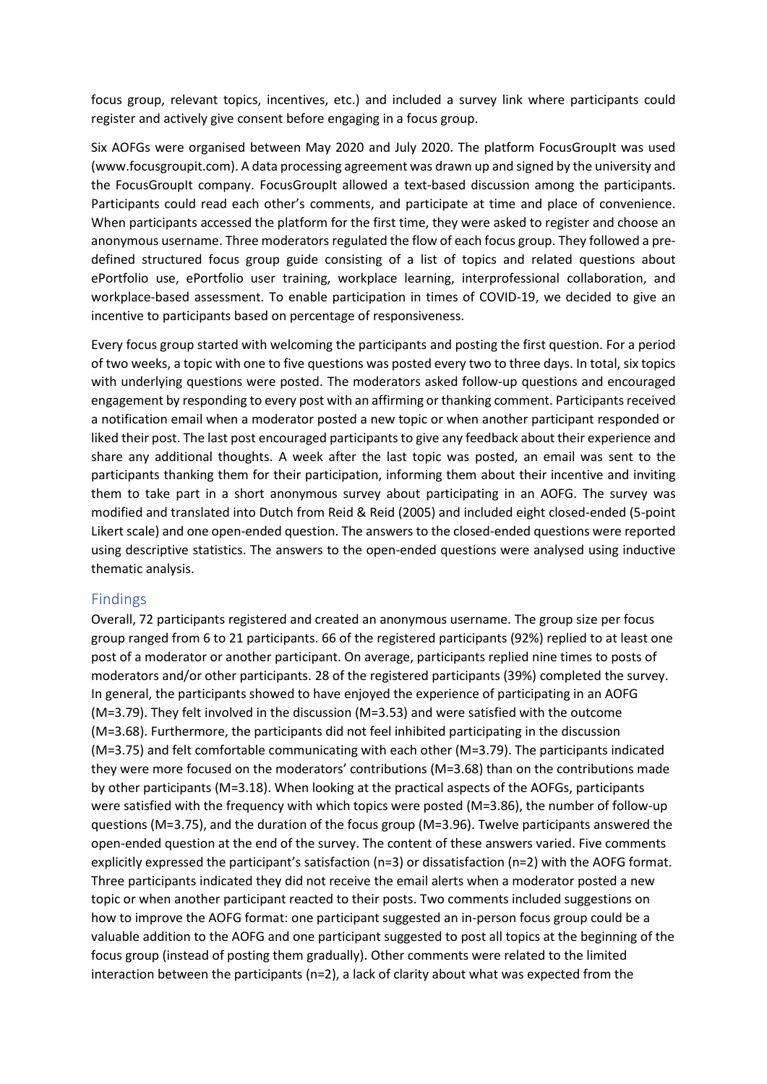focus group, relevant topics, incentives, etc.) and included a survey link where participants could register and actively give consent before engaging in a focus group.

Six AOFGs were organised between May 2020 and July 2020. The platform FocusGroupIt was used (www.focusgroupit.com). A data processing agreement was drawn up and signed by the university and the FocusGroupIt company. FocusGroupIt allowed a text-based discussion among the participants. Participants could read each other's comments, and participate at time and place of convenience. When participants accessed the platform for the first time, they were asked to register and choose an anonymous username. Three moderators regulated the flow of each focus group. They followed a predefined structured focus group guide consisting of a list of topics and related questions about ePortfolio use, ePortfolio user training, workplace learning, interprofessional collaboration, and workplace-based assessment. To enable participation in times of COVID-19, we decided to give an incentive to participants based on percentage of responsiveness.

Every focus group started with welcoming the participants and posting the first question. For a period of two weeks, a topic with one to five questions was posted every two to three days. In total, six topics with underlying questions were posted. The moderators asked follow-up questions and encouraged engagement by responding to every post with an affirming or thanking comment. Participants received a notification email when a moderator posted a new topic or when another participant responded or liked their post. The last post encouraged participants to give any feedback about their experience and share any additional thoughts. A week after the last topic was posted, an email was sent to the participants thanking them for their participation, informing them about their incentive and inviting them to take part in a short anonymous survey about participating in an AOFG. The survey was modified and translated into Dutch from Reid & Reid (2005) and included eight closed-ended (5-point Likert scale) and one open-ended question. The answers to the closed-ended questions were reported using descriptive statistics. The answers to the open-ended questions were analysed using inductive thematic analysis.

#### Findings

Overall, 72 participants registered and created an anonymous username. The group size per focus group ranged from 6 to 21 participants. 66 of the registered participants (92%) replied to at least one post of a moderator or another participant. On average, participants replied nine times to posts of moderators and/or other participants. 28 of the registered participants (39%) completed the survey. In general, the participants showed to have enjoyed the experience of participating in an AOFG (M=3.79). They felt involved in the discussion (M=3.53) and were satisfied with the outcome (M=3.68). Furthermore, the participants did not feel inhibited participating in the discussion (M=3.75) and felt comfortable communicating with each other (M=3.79). The participants indicated they were more focused on the moderators' contributions (M=3.68) than on the contributions made by other participants (M=3.18). When looking at the practical aspects of the AOFGs, participants were satisfied with the frequency with which topics were posted (M=3.86), the number of follow-up questions (M=3.75), and the duration of the focus group (M=3.96). Twelve participants answered the open-ended question at the end of the survey. The content of these answers varied. Five comments explicitly expressed the participant's satisfaction (n=3) or dissatisfaction (n=2) with the AOFG format. Three participants indicated they did not receive the email alerts when a moderator posted a new topic or when another participant reacted to their posts. Two comments included suggestions on how to improve the AOFG format: one participant suggested an in-person focus group could be a valuable addition to the AOFG and one participant suggested to post all topics at the beginning of the focus group (instead of posting them gradually). Other comments were related to the limited interaction between the participants (n=2), a lack of clarity about what was expected from the